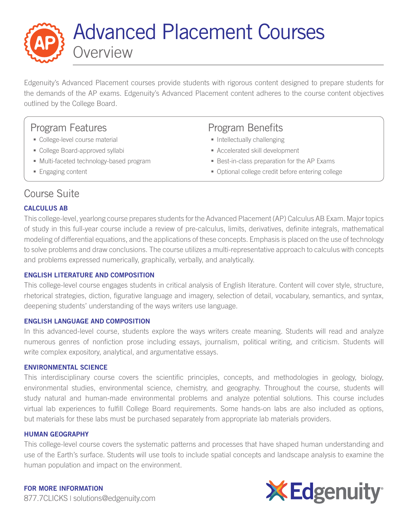

Edgenuity's Advanced Placement courses provide students with rigorous content designed to prepare students for the demands of the AP exams. Edgenuity's Advanced Placement content adheres to the course content objectives outlined by the College Board.

## Program Features

- **College-level course material**
- College Board-approved syllabi
- Multi-faceted technology-based program
- **Engaging content**

## Program Benefits

- **Intellectually challenging**
- Accelerated skill development
- Best-in-class preparation for the AP Exams
- Optional college credit before entering college

# Course Suite

## CALCULUS AB

This college-level, yearlong course prepares students for the Advanced Placement (AP) Calculus AB Exam. Major topics of study in this full-year course include a review of pre-calculus, limits, derivatives, definite integrals, mathematical modeling of differential equations, and the applications of these concepts. Emphasis is placed on the use of technology to solve problems and draw conclusions. The course utilizes a multi-representative approach to calculus with concepts and problems expressed numerically, graphically, verbally, and analytically.

### ENGLISH LITERATURE AND COMPOSITION

This college-level course engages students in critical analysis of English literature. Content will cover style, structure, rhetorical strategies, diction, figurative language and imagery, selection of detail, vocabulary, semantics, and syntax, deepening students' understanding of the ways writers use language.

### ENGLISH LANGUAGE AND COMPOSITION

In this advanced-level course, students explore the ways writers create meaning. Students will read and analyze numerous genres of nonfiction prose including essays, journalism, political writing, and criticism. Students will write complex expository, analytical, and argumentative essays.

### ENVIRONMENTAL SCIENCE

This interdisciplinary course covers the scientific principles, concepts, and methodologies in geology, biology, environmental studies, environmental science, chemistry, and geography. Throughout the course, students will study natural and human-made environmental problems and analyze potential solutions. This course includes virtual lab experiences to fulfill College Board requirements. Some hands-on labs are also included as options, but materials for these labs must be purchased separately from appropriate lab materials providers.

### HUMAN GEOGRAPHY

This college-level course covers the systematic patterns and processes that have shaped human understanding and use of the Earth's surface. Students will use tools to include spatial concepts and landscape analysis to examine the human population and impact on the environment.

FOR MORE INFORMATION 877.7CLICKS | solutions@edgenuity.com